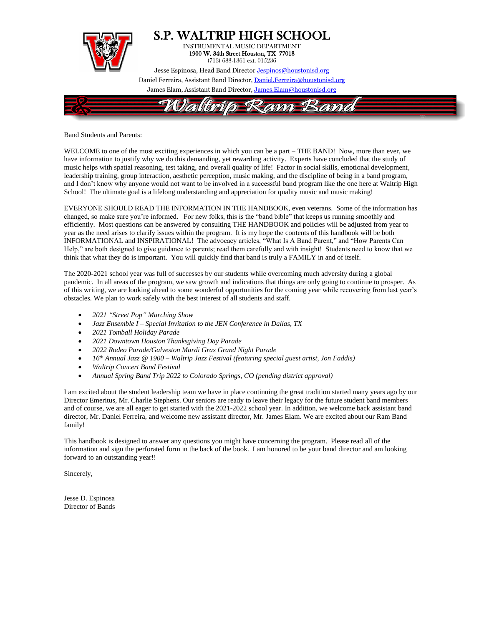

Band Students and Parents:

WELCOME to one of the most exciting experiences in which you can be a part – THE BAND! Now, more than ever, we have information to justify why we do this demanding, yet rewarding activity. Experts have concluded that the study of music helps with spatial reasoning, test taking, and overall quality of life! Factor in social skills, emotional development, leadership training, group interaction, aesthetic perception, music making, and the discipline of being in a band program, and I don't know why anyone would not want to be involved in a successful band program like the one here at Waltrip High School! The ultimate goal is a lifelong understanding and appreciation for quality music and music making!

EVERYONE SHOULD READ THE INFORMATION IN THE HANDBOOK, even veterans. Some of the information has changed, so make sure you're informed. For new folks, this is the "band bible" that keeps us running smoothly and efficiently. Most questions can be answered by consulting THE HANDBOOK and policies will be adjusted from year to year as the need arises to clarify issues within the program. It is my hope the contents of this handbook will be both INFORMATIONAL and INSPIRATIONAL! The advocacy articles, "What Is A Band Parent," and "How Parents Can Help," are both designed to give guidance to parents; read them carefully and with insight! Students need to know that we think that what they do is important. You will quickly find that band is truly a FAMILY in and of itself.

The 2020-2021 school year was full of successes by our students while overcoming much adversity during a global pandemic. In all areas of the program, we saw growth and indications that things are only going to continue to prosper. As of this writing, we are looking ahead to some wonderful opportunities for the coming year while recovering from last year's obstacles. We plan to work safely with the best interest of all students and staff.

- *2021 "Street Pop" Marching Show*
- *Jazz Ensemble I – Special Invitation to the JEN Conference in Dallas, TX*
- *2021 Tomball Holiday Parade*
- *2021 Downtown Houston Thanksgiving Day Parade*
- *2022 Rodeo Parade/Galveston Mardi Gras Grand Night Parade*
- *16 th Annual Jazz @ 1900 – Waltrip Jazz Festival (featuring special guest artist, Jon Faddis)*
- *Waltrip Concert Band Festival*
- *Annual Spring Band Trip 2022 to Colorado Springs, CO (pending district approval)*

I am excited about the student leadership team we have in place continuing the great tradition started many years ago by our Director Emeritus, Mr. Charlie Stephens. Our seniors are ready to leave their legacy for the future student band members and of course, we are all eager to get started with the 2021-2022 school year. In addition, we welcome back assistant band director, Mr. Daniel Ferreira, and welcome new assistant director, Mr. James Elam. We are excited about our Ram Band family!

This handbook is designed to answer any questions you might have concerning the program. Please read all of the information and sign the perforated form in the back of the book. I am honored to be your band director and am looking forward to an outstanding year!!

Sincerely,

Jesse D. Espinosa Director of Bands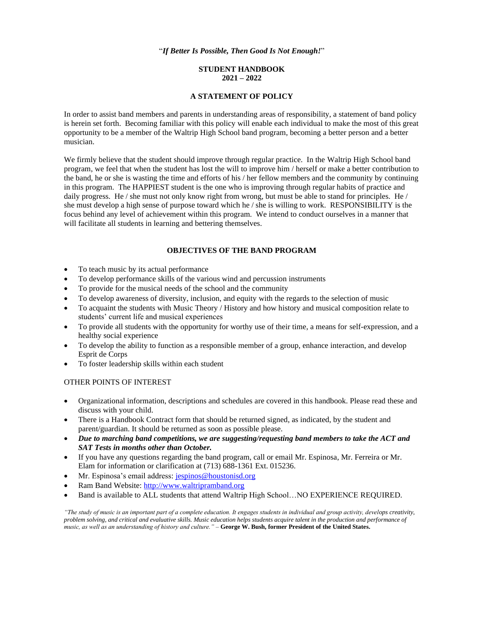#### "*If Better Is Possible, Then Good Is Not Enough!*"

# **STUDENT HANDBOOK 2021 – 2022**

# **A STATEMENT OF POLICY**

In order to assist band members and parents in understanding areas of responsibility, a statement of band policy is herein set forth. Becoming familiar with this policy will enable each individual to make the most of this great opportunity to be a member of the Waltrip High School band program, becoming a better person and a better musician.

We firmly believe that the student should improve through regular practice. In the Waltrip High School band program, we feel that when the student has lost the will to improve him / herself or make a better contribution to the band, he or she is wasting the time and efforts of his / her fellow members and the community by continuing in this program. The HAPPIEST student is the one who is improving through regular habits of practice and daily progress. He / she must not only know right from wrong, but must be able to stand for principles. He / she must develop a high sense of purpose toward which he / she is willing to work. RESPONSIBILITY is the focus behind any level of achievement within this program. We intend to conduct ourselves in a manner that will facilitate all students in learning and bettering themselves.

#### **OBJECTIVES OF THE BAND PROGRAM**

- To teach music by its actual performance
- To develop performance skills of the various wind and percussion instruments
- To provide for the musical needs of the school and the community
- To develop awareness of diversity, inclusion, and equity with the regards to the selection of music
- To acquaint the students with Music Theory / History and how history and musical composition relate to students' current life and musical experiences
- To provide all students with the opportunity for worthy use of their time, a means for self-expression, and a healthy social experience
- To develop the ability to function as a responsible member of a group, enhance interaction, and develop Esprit de Corps
- To foster leadership skills within each student

# OTHER POINTS OF INTEREST

- Organizational information, descriptions and schedules are covered in this handbook. Please read these and discuss with your child.
- There is a Handbook Contract form that should be returned signed, as indicated, by the student and parent/guardian. It should be returned as soon as possible please.
- *Due to marching band competitions, we are suggesting/requesting band members to take the ACT and SAT Tests in months other than October.*
- If you have any questions regarding the band program, call or email Mr. Espinosa, Mr. Ferreira or Mr. Elam for information or clarification at (713) 688-1361 Ext. 015236.
- Mr. Espinosa's email address: [jespinos@houstonisd.org](mailto:jespinos@houstonisd.org)
- Ram Band Website: [http://www.waltripramband.org](http://www.waltripramband.org/)
- Band is available to ALL students that attend Waltrip High School…NO EXPERIENCE REQUIRED.

*"The study of music is an important part of a complete education. It engages students in individual and group activity, develops creativity, problem solving, and critical and evaluative skills. Music education helps students acquire talent in the production and performance of music, as well as an understanding of history and culture."* – **George W. Bush, former President of the United States.**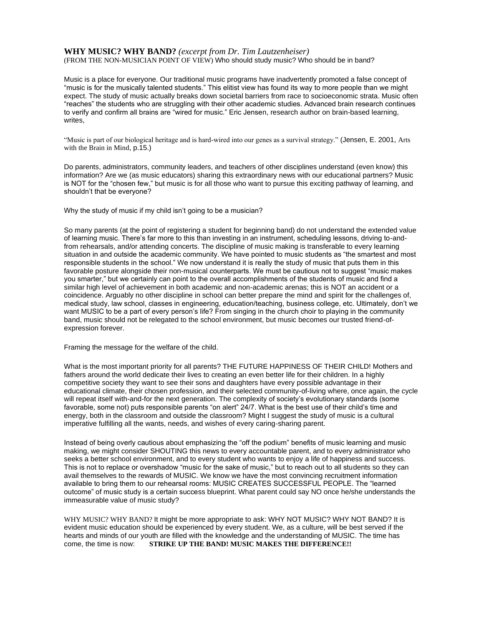# **WHY MUSIC? WHY BAND?** *(excerpt from Dr. Tim Lautzenheiser)*

(FROM THE NON-MUSICIAN POINT OF VIEW) Who should study music? Who should be in band?

Music is a place for everyone. Our traditional music programs have inadvertently promoted a false concept of "music is for the musically talented students." This elitist view has found its way to more people than we might expect. The study of music actually breaks down societal barriers from race to socioeconomic strata. Music often "reaches" the students who are struggling with their other academic studies. Advanced brain research continues to verify and confirm all brains are "wired for music." Eric Jensen, research author on brain-based learning, writes,

"Music is part of our biological heritage and is hard-wired into our genes as a survival strategy." (Jensen, E. 2001, Arts with the Brain in Mind, p.15.)

Do parents, administrators, community leaders, and teachers of other disciplines understand (even know) this information? Are we (as music educators) sharing this extraordinary news with our educational partners? Music is NOT for the "chosen few," but music is for all those who want to pursue this exciting pathway of learning, and shouldn't that be everyone?

Why the study of music if my child isn't going to be a musician?

So many parents (at the point of registering a student for beginning band) do not understand the extended value of learning music. There's far more to this than investing in an instrument, scheduling lessons, driving to-andfrom rehearsals, and/or attending concerts. The discipline of music making is transferable to every learning situation in and outside the academic community. We have pointed to music students as "the smartest and most responsible students in the school." We now understand it is really the study of music that puts them in this favorable posture alongside their non-musical counterparts. We must be cautious not to suggest "music makes you smarter," but we certainly can point to the overall accomplishments of the students of music and find a similar high level of achievement in both academic and non-academic arenas; this is NOT an accident or a coincidence. Arguably no other discipline in school can better prepare the mind and spirit for the challenges of, medical study, law school, classes in engineering, education/teaching, business college, etc. Ultimately, don't we want MUSIC to be a part of every person's life? From singing in the church choir to playing in the community band, music should not be relegated to the school environment, but music becomes our trusted friend-ofexpression forever.

Framing the message for the welfare of the child.

What is the most important priority for all parents? THE FUTURE HAPPINESS OF THEIR CHILD! Mothers and fathers around the world dedicate their lives to creating an even better life for their children. In a highly competitive society they want to see their sons and daughters have every possible advantage in their educational climate, their chosen profession, and their selected community-of-living where, once again, the cycle will repeat itself with-and-for the next generation. The complexity of society's evolutionary standards (some favorable, some not) puts responsible parents "on alert" 24/7. What is the best use of their child's time and energy, both in the classroom and outside the classroom? Might I suggest the study of music is a cultural imperative fulfilling all the wants, needs, and wishes of every caring-sharing parent.

Instead of being overly cautious about emphasizing the "off the podium" benefits of music learning and music making, we might consider SHOUTING this news to every accountable parent, and to every administrator who seeks a better school environment, and to every student who wants to enjoy a life of happiness and success. This is not to replace or overshadow "music for the sake of music," but to reach out to all students so they can avail themselves to the rewards of MUSIC. We know we have the most convincing recruitment information available to bring them to our rehearsal rooms: MUSIC CREATES SUCCESSFUL PEOPLE. The "learned outcome" of music study is a certain success blueprint. What parent could say NO once he/she understands the immeasurable value of music study?

WHY MUSIC? WHY BAND? It might be more appropriate to ask: WHY NOT MUSIC? WHY NOT BAND? It is evident music education should be experienced by every student. We, as a culture, will be best served if the hearts and minds of our youth are filled with the knowledge and the understanding of MUSIC. The time has come, the time is now: **STRIKE UP THE BAND! MUSIC MAKES THE DIFFERENCE!!**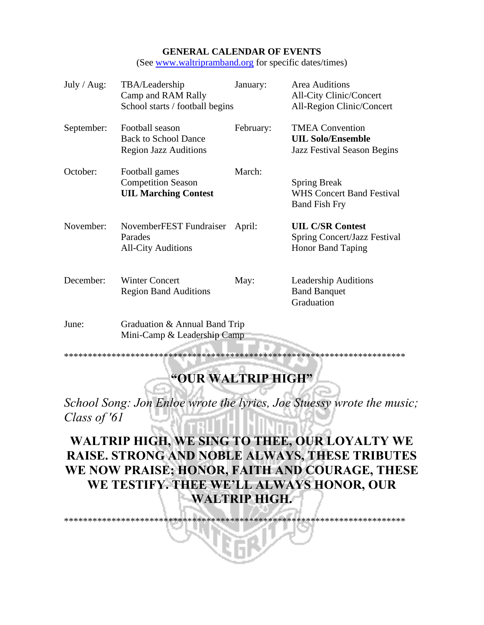# **GENERAL CALENDAR OF EVENTS**

(See [www.waltripramband.org](http://www.waltripramband.org/) for specific dates/times)

| July / $Aug:$ | TBA/Leadership<br>Camp and RAM Rally<br>School starts / football begins        | January:  | <b>Area Auditions</b><br><b>All-City Clinic/Concert</b><br>All-Region Clinic/Concert     |
|---------------|--------------------------------------------------------------------------------|-----------|------------------------------------------------------------------------------------------|
| September:    | Football season<br><b>Back to School Dance</b><br><b>Region Jazz Auditions</b> | February: | <b>TMEA Convention</b><br><b>UIL Solo/Ensemble</b><br><b>Jazz Festival Season Begins</b> |
| October:      | Football games<br><b>Competition Season</b><br><b>UIL Marching Contest</b>     | March:    | <b>Spring Break</b><br><b>WHS Concert Band Festival</b><br><b>Band Fish Fry</b>          |
| November:     | NovemberFEST Fundraiser<br>Parades<br><b>All-City Auditions</b>                | April:    | <b>UIL C/SR Contest</b><br>Spring Concert/Jazz Festival<br><b>Honor Band Taping</b>      |
| December:     | <b>Winter Concert</b><br><b>Region Band Auditions</b>                          | May:      | <b>Leadership Auditions</b><br><b>Band Banquet</b><br>Graduation                         |
| June:         | Graduation & Annual Band Trip                                                  |           |                                                                                          |

Mini-Camp & Leadership Camp

\*\*\*\*\*\*\*\*\*\*\*\*\*\*\*\*\*\*\*\*\*\*\*\*\*\*\*\*\*\*\*\*\*\*\*\*\*\*\*\*\*\*\*\*\*\*\*\*\*\*\*\*\*\*\*\*\*\*\*\*\*\*\*\*\*\*\*\*\*\*\*\*

# **"OUR WALTRIP HIGH"**

*School Song: Jon Enloe wrote the lyrics, Joe Stuessy wrote the music; Class of '61*

# **WALTRIP HIGH, WE SING TO THEE, OUR LOYALTY WE RAISE. STRONG AND NOBLE ALWAYS, THESE TRIBUTES WE NOW PRAISE; HONOR, FAITH AND COURAGE, THESE WE TESTIFY. THEE WE'LL ALWAYS HONOR, OUR WALTRIP HIGH.**

\*\*\*\*\*\*\*\*\*\*\*\*\*\*\*\*\*\*\*\*\*\*\*\*\*\*\*\*\*\*\*\*\*\*\*\*\*\*\*\*\*\*\*\*\*\*\*\*\*\*\*\*\*\*\*\*\*\*\*\*\*\*\*\*\*\*\*\*\*\*\*\*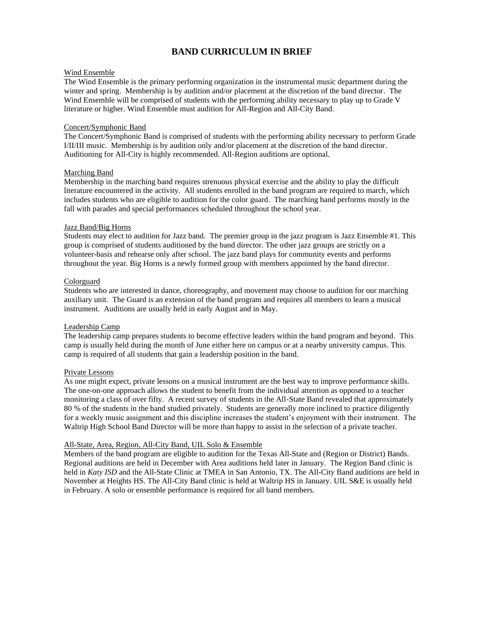# **BAND CURRICULUM IN BRIEF**

# Wind Ensemble

The Wind Ensemble is the primary performing organization in the instrumental music department during the winter and spring. Membership is by audition and/or placement at the discretion of the band director. The Wind Ensemble will be comprised of students with the performing ability necessary to play up to Grade V literature or higher. Wind Ensemble must audition for All-Region and All-City Band.

#### Concert/Symphonic Band

The Concert/Symphonic Band is comprised of students with the performing ability necessary to perform Grade I/II/III music. Membership is by audition only and/or placement at the discretion of the band director. Auditioning for All-City is highly recommended. All-Region auditions are optional.

#### Marching Band

Membership in the marching band requires strenuous physical exercise and the ability to play the difficult literature encountered in the activity. All students enrolled in the band program are required to march, which includes students who are eligible to audition for the color guard. The marching band performs mostly in the fall with parades and special performances scheduled throughout the school year.

#### Jazz Band/Big Horns

Students may elect to audition for Jazz band. The premier group in the jazz program is Jazz Ensemble #1. This group is comprised of students auditioned by the band director. The other jazz groups are strictly on a volunteer-basis and rehearse only after school. The jazz band plays for community events and performs throughout the year. Big Horns is a newly formed group with members appointed by the band director.

#### Colorguard

Students who are interested in dance, choreography, and movement may choose to audition for our marching auxiliary unit. The Guard is an extension of the band program and requires all members to learn a musical instrument. Auditions are usually held in early August and in May.

#### Leadership Camp

The leadership camp prepares students to become effective leaders within the band program and beyond. This camp is usually held during the month of June either here on campus or at a nearby university campus. This camp is required of all students that gain a leadership position in the band.

#### Private Lessons

As one might expect, private lessons on a musical instrument are the best way to improve performance skills. The one-on-one approach allows the student to benefit from the individual attention as opposed to a teacher monitoring a class of over fifty. A recent survey of students in the All-State Band revealed that approximately 80 % of the students in the band studied privately. Students are generally more inclined to practice diligently for a weekly music assignment and this discipline increases the student's enjoyment with their instrument. The Waltrip High School Band Director will be more than happy to assist in the selection of a private teacher.

#### All-State, Area, Region, All-City Band, UIL Solo & Ensemble

Members of the band program are eligible to audition for the Texas All-State and (Region or District) Bands. Regional auditions are held in December with Area auditions held later in January. The Region Band clinic is held in *Katy ISD* and the All-State Clinic at TMEA in San Antonio, TX. The All-City Band auditions are held in November at Heights HS. The All-City Band clinic is held at Waltrip HS in January. UIL S&E is usually held in February. A solo or ensemble performance is required for all band members.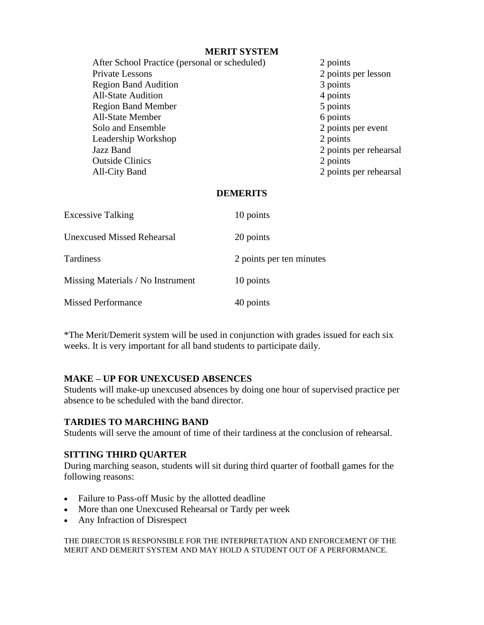# **MERIT SYSTEM**

After School Practice (personal or scheduled) 2 points Private Lessons 2 points per lesson Region Band Audition 3 points All-State Audition 4 points Region Band Member 5 points All-State Member 6 points Solo and Ensemble 2 points per event Leadership Workshop 2 points Jazz Band 2 points per rehearsal Outside Clinics 2 points All-City Band 2 points per rehearsal

# **DEMERITS**

| <b>Excessive Talking</b>          | 10 points                |
|-----------------------------------|--------------------------|
| <b>Unexcused Missed Rehearsal</b> | 20 points                |
| <b>Tardiness</b>                  | 2 points per ten minutes |
| Missing Materials / No Instrument | 10 points                |
| <b>Missed Performance</b>         | 40 points                |

\*The Merit/Demerit system will be used in conjunction with grades issued for each six weeks. It is very important for all band students to participate daily.

# **MAKE – UP FOR UNEXCUSED ABSENCES**

Students will make-up unexcused absences by doing one hour of supervised practice per absence to be scheduled with the band director.

# **TARDIES TO MARCHING BAND**

Students will serve the amount of time of their tardiness at the conclusion of rehearsal.

# **SITTING THIRD QUARTER**

During marching season, students will sit during third quarter of football games for the following reasons:

- Failure to Pass-off Music by the allotted deadline
- More than one Unexcused Rehearsal or Tardy per week
- Any Infraction of Disrespect

THE DIRECTOR IS RESPONSIBLE FOR THE INTERPRETATION AND ENFORCEMENT OF THE MERIT AND DEMERIT SYSTEM AND MAY HOLD A STUDENT OUT OF A PERFORMANCE.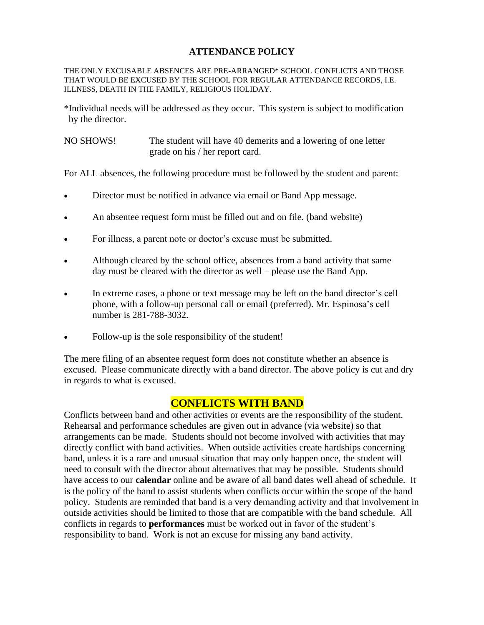# **ATTENDANCE POLICY**

THE ONLY EXCUSABLE ABSENCES ARE PRE-ARRANGED\* SCHOOL CONFLICTS AND THOSE THAT WOULD BE EXCUSED BY THE SCHOOL FOR REGULAR ATTENDANCE RECORDS, I.E. ILLNESS, DEATH IN THE FAMILY, RELIGIOUS HOLIDAY.

\*Individual needs will be addressed as they occur. This system is subject to modification by the director.

NO SHOWS! The student will have 40 demerits and a lowering of one letter grade on his / her report card.

For ALL absences, the following procedure must be followed by the student and parent:

- Director must be notified in advance via email or Band App message.
- An absentee request form must be filled out and on file. (band website)
- For illness, a parent note or doctor's excuse must be submitted.
- Although cleared by the school office, absences from a band activity that same day must be cleared with the director as well – please use the Band App.
- In extreme cases, a phone or text message may be left on the band director's cell phone, with a follow-up personal call or email (preferred). Mr. Espinosa's cell number is 281-788-3032.
- Follow-up is the sole responsibility of the student!

The mere filing of an absentee request form does not constitute whether an absence is excused. Please communicate directly with a band director. The above policy is cut and dry in regards to what is excused.

# **CONFLICTS WITH BAND**

Conflicts between band and other activities or events are the responsibility of the student. Rehearsal and performance schedules are given out in advance (via website) so that arrangements can be made. Students should not become involved with activities that may directly conflict with band activities. When outside activities create hardships concerning band, unless it is a rare and unusual situation that may only happen once, the student will need to consult with the director about alternatives that may be possible. Students should have access to our **calendar** online and be aware of all band dates well ahead of schedule. It is the policy of the band to assist students when conflicts occur within the scope of the band policy. Students are reminded that band is a very demanding activity and that involvement in outside activities should be limited to those that are compatible with the band schedule. All conflicts in regards to **performances** must be worked out in favor of the student's responsibility to band. Work is not an excuse for missing any band activity.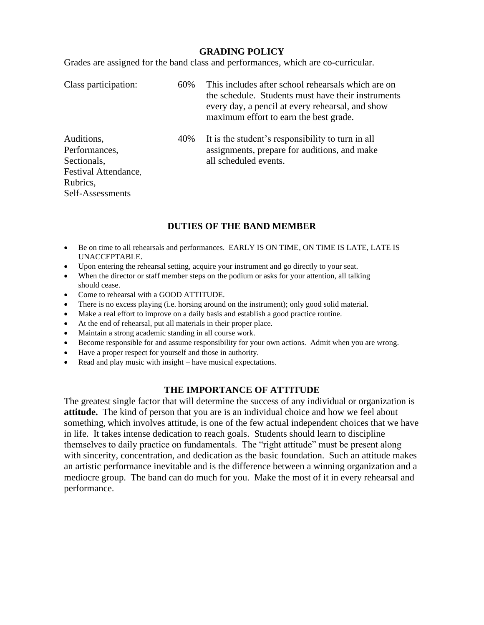# **GRADING POLICY**

Grades are assigned for the band class and performances, which are co-curricular.

| Class participation:                                               | 60% | This includes after school rehearsals which are on<br>the schedule. Students must have their instruments<br>every day, a pencil at every rehearsal, and show<br>maximum effort to earn the best grade. |
|--------------------------------------------------------------------|-----|--------------------------------------------------------------------------------------------------------------------------------------------------------------------------------------------------------|
| Auditions,<br>Performances,<br>Sectionals,<br>Festival Attendance, | 40% | It is the student's responsibility to turn in all<br>assignments, prepare for auditions, and make<br>all scheduled events.                                                                             |
| Rubrics,                                                           |     |                                                                                                                                                                                                        |
| Self-Assessments                                                   |     |                                                                                                                                                                                                        |

# **DUTIES OF THE BAND MEMBER**

- Be on time to all rehearsals and performances. EARLY IS ON TIME, ON TIME IS LATE, LATE IS UNACCEPTABLE.
- Upon entering the rehearsal setting, acquire your instrument and go directly to your seat.
- When the director or staff member steps on the podium or asks for your attention, all talking should cease.
- Come to rehearsal with a GOOD ATTITUDE.
- There is no excess playing (i.e. horsing around on the instrument); only good solid material.
- Make a real effort to improve on a daily basis and establish a good practice routine.
- At the end of rehearsal, put all materials in their proper place.
- Maintain a strong academic standing in all course work.
- Become responsible for and assume responsibility for your own actions. Admit when you are wrong.
- Have a proper respect for yourself and those in authority.
- Read and play music with insight have musical expectations.

# **THE IMPORTANCE OF ATTITUDE**

The greatest single factor that will determine the success of any individual or organization is **attitude.** The kind of person that you are is an individual choice and how we feel about something, which involves attitude, is one of the few actual independent choices that we have in life. It takes intense dedication to reach goals. Students should learn to discipline themselves to daily practice on fundamentals. The "right attitude" must be present along with sincerity, concentration, and dedication as the basic foundation. Such an attitude makes an artistic performance inevitable and is the difference between a winning organization and a mediocre group. The band can do much for you. Make the most of it in every rehearsal and performance.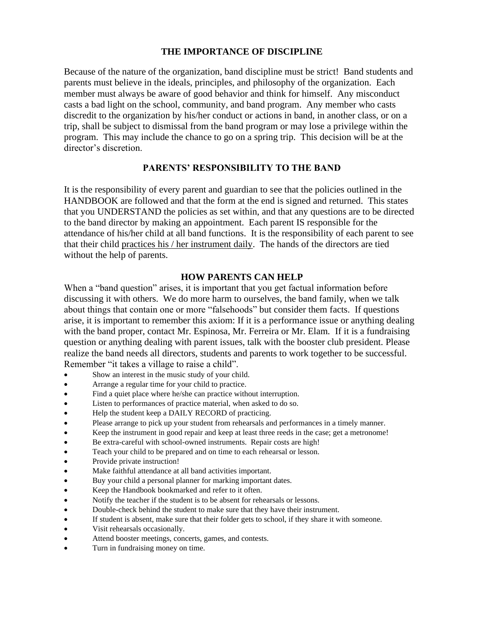# **THE IMPORTANCE OF DISCIPLINE**

Because of the nature of the organization, band discipline must be strict! Band students and parents must believe in the ideals, principles, and philosophy of the organization. Each member must always be aware of good behavior and think for himself. Any misconduct casts a bad light on the school, community, and band program. Any member who casts discredit to the organization by his/her conduct or actions in band, in another class, or on a trip, shall be subject to dismissal from the band program or may lose a privilege within the program. This may include the chance to go on a spring trip. This decision will be at the director's discretion.

# **PARENTS' RESPONSIBILITY TO THE BAND**

It is the responsibility of every parent and guardian to see that the policies outlined in the HANDBOOK are followed and that the form at the end is signed and returned. This states that you UNDERSTAND the policies as set within, and that any questions are to be directed to the band director by making an appointment. Each parent IS responsible for the attendance of his/her child at all band functions. It is the responsibility of each parent to see that their child practices his / her instrument daily.The hands of the directors are tied without the help of parents.

# **HOW PARENTS CAN HELP**

When a "band question" arises, it is important that you get factual information before discussing it with others. We do more harm to ourselves, the band family, when we talk about things that contain one or more "falsehoods" but consider them facts. If questions arise, it is important to remember this axiom: If it is a performance issue or anything dealing with the band proper, contact Mr. Espinosa, Mr. Ferreira or Mr. Elam*.* If it is a fundraising question or anything dealing with parent issues, talk with the booster club president. Please realize the band needs all directors, students and parents to work together to be successful. Remember "it takes a village to raise a child".

- Show an interest in the music study of your child.
- Arrange a regular time for your child to practice.
- Find a quiet place where he/she can practice without interruption.
- Listen to performances of practice material, when asked to do so.
- Help the student keep a DAILY RECORD of practicing.
- Please arrange to pick up your student from rehearsals and performances in a timely manner.
- Keep the instrument in good repair and keep at least three reeds in the case; get a metronome!
- Be extra-careful with school-owned instruments. Repair costs are high!
- Teach your child to be prepared and on time to each rehearsal or lesson.
- Provide private instruction!
- Make faithful attendance at all band activities important.
- Buy your child a personal planner for marking important dates.
- Keep the Handbook bookmarked and refer to it often.
- Notify the teacher if the student is to be absent for rehearsals or lessons.
- Double-check behind the student to make sure that they have their instrument.
- If student is absent, make sure that their folder gets to school, if they share it with someone.
- Visit rehearsals occasionally.
- Attend booster meetings, concerts, games, and contests.
- Turn in fundraising money on time.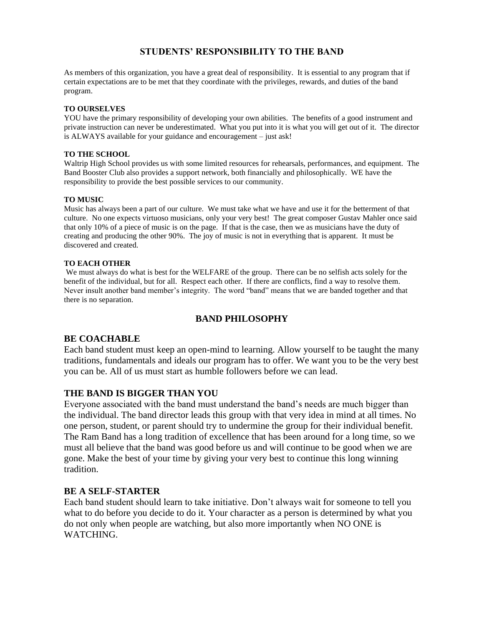# **STUDENTS' RESPONSIBILITY TO THE BAND**

As members of this organization, you have a great deal of responsibility. It is essential to any program that if certain expectations are to be met that they coordinate with the privileges, rewards, and duties of the band program.

# **TO OURSELVES**

YOU have the primary responsibility of developing your own abilities. The benefits of a good instrument and private instruction can never be underestimated. What you put into it is what you will get out of it. The director is ALWAYS available for your guidance and encouragement – just ask!

# **TO THE SCHOOL**

Waltrip High School provides us with some limited resources for rehearsals, performances, and equipment. The Band Booster Club also provides a support network, both financially and philosophically. WE have the responsibility to provide the best possible services to our community.

# **TO MUSIC**

Music has always been a part of our culture. We must take what we have and use it for the betterment of that culture. No one expects virtuoso musicians, only your very best! The great composer Gustav Mahler once said that only 10% of a piece of music is on the page. If that is the case, then we as musicians have the duty of creating and producing the other 90%. The joy of music is not in everything that is apparent. It must be discovered and created.

# **TO EACH OTHER**

We must always do what is best for the WELFARE of the group. There can be no selfish acts solely for the benefit of the individual, but for all. Respect each other. If there are conflicts, find a way to resolve them. Never insult another band member's integrity. The word "band" means that we are banded together and that there is no separation.

# **BAND PHILOSOPHY**

# **BE COACHABLE**

Each band student must keep an open-mind to learning. Allow yourself to be taught the many traditions, fundamentals and ideals our program has to offer. We want you to be the very best you can be. All of us must start as humble followers before we can lead.

# **THE BAND IS BIGGER THAN YOU**

Everyone associated with the band must understand the band's needs are much bigger than the individual. The band director leads this group with that very idea in mind at all times. No one person, student, or parent should try to undermine the group for their individual benefit. The Ram Band has a long tradition of excellence that has been around for a long time, so we must all believe that the band was good before us and will continue to be good when we are gone. Make the best of your time by giving your very best to continue this long winning tradition.

# **BE A SELF-STARTER**

Each band student should learn to take initiative. Don't always wait for someone to tell you what to do before you decide to do it. Your character as a person is determined by what you do not only when people are watching, but also more importantly when NO ONE is WATCHING.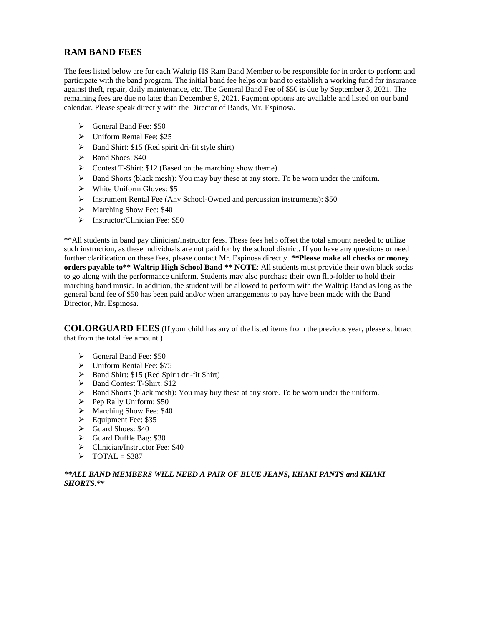# **RAM BAND FEES**

The fees listed below are for each Waltrip HS Ram Band Member to be responsible for in order to perform and participate with the band program. The initial band fee helps our band to establish a working fund for insurance against theft, repair, daily maintenance, etc. The General Band Fee of \$50 is due by September 3, 2021. The remaining fees are due no later than December 9, 2021. Payment options are available and listed on our band calendar. Please speak directly with the Director of Bands, Mr. Espinosa.

- ➢ General Band Fee: \$50
- ➢ Uniform Rental Fee: \$25
- ➢ Band Shirt: \$15 (Red spirit dri-fit style shirt)
- ➢ Band Shoes: \$40
- ➢ Contest T-Shirt: \$12 (Based on the marching show theme)
- ➢ Band Shorts (black mesh): You may buy these at any store. To be worn under the uniform.
- ➢ White Uniform Gloves: \$5
- ➢ Instrument Rental Fee (Any School-Owned and percussion instruments): \$50
- ➢ Marching Show Fee: \$40
- ➢ Instructor/Clinician Fee: \$50

\*\*All students in band pay clinician/instructor fees. These fees help offset the total amount needed to utilize such instruction, as these individuals are not paid for by the school district. If you have any questions or need further clarification on these fees, please contact Mr. Espinosa directly. **\*\*Please make all checks or money orders payable to\*\* Waltrip High School Band \*\* NOTE**: All students must provide their own black socks to go along with the performance uniform. Students may also purchase their own flip-folder to hold their marching band music. In addition, the student will be allowed to perform with the Waltrip Band as long as the general band fee of \$50 has been paid and/or when arrangements to pay have been made with the Band Director, Mr. Espinosa.

**COLORGUARD FEES** (If your child has any of the listed items from the previous year, please subtract that from the total fee amount.)

- ➢ General Band Fee: \$50
- ➢ Uniform Rental Fee: \$75
- ➢ Band Shirt: \$15 (Red Spirit dri-fit Shirt)
- ➢ Band Contest T-Shirt: \$12
- ➢ Band Shorts (black mesh): You may buy these at any store. To be worn under the uniform.
- ➢ Pep Rally Uniform: \$50
- ➢ Marching Show Fee: \$40
- ➢ Equipment Fee: \$35
- ➢ Guard Shoes: \$40
- ➢ Guard Duffle Bag: \$30
- ➢ Clinician/Instructor Fee: \$40
- $\triangleright$  TOTAL = \$387

# *\*\*ALL BAND MEMBERS WILL NEED A PAIR OF BLUE JEANS, KHAKI PANTS and KHAKI SHORTS.\*\**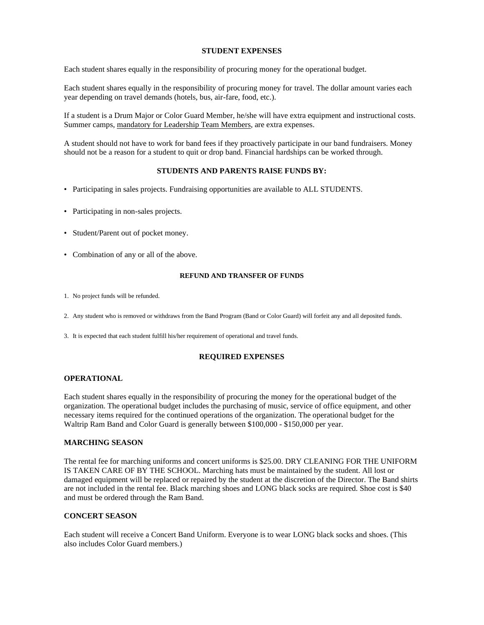# **STUDENT EXPENSES**

Each student shares equally in the responsibility of procuring money for the operational budget.

Each student shares equally in the responsibility of procuring money for travel. The dollar amount varies each year depending on travel demands (hotels, bus, air-fare, food, etc.).

If a student is a Drum Major or Color Guard Member, he/she will have extra equipment and instructional costs. Summer camps, mandatory for Leadership Team Members, are extra expenses.

A student should not have to work for band fees if they proactively participate in our band fundraisers. Money should not be a reason for a student to quit or drop band. Financial hardships can be worked through.

# **STUDENTS AND PARENTS RAISE FUNDS BY:**

- Participating in sales projects. Fundraising opportunities are available to ALL STUDENTS.
- Participating in non-sales projects.
- Student/Parent out of pocket money.
- Combination of any or all of the above.

#### **REFUND AND TRANSFER OF FUNDS**

- 1. No project funds will be refunded.
- 2. Any student who is removed or withdraws from the Band Program (Band or Color Guard) will forfeit any and all deposited funds.
- 3. It is expected that each student fulfill his/her requirement of operational and travel funds.

# **REQUIRED EXPENSES**

# **OPERATIONAL**

Each student shares equally in the responsibility of procuring the money for the operational budget of the organization. The operational budget includes the purchasing of music, service of office equipment, and other necessary items required for the continued operations of the organization. The operational budget for the Waltrip Ram Band and Color Guard is generally between \$100,000 - \$150,000 per year.

# **MARCHING SEASON**

The rental fee for marching uniforms and concert uniforms is \$25.00. DRY CLEANING FOR THE UNIFORM IS TAKEN CARE OF BY THE SCHOOL. Marching hats must be maintained by the student. All lost or damaged equipment will be replaced or repaired by the student at the discretion of the Director. The Band shirts are not included in the rental fee. Black marching shoes and LONG black socks are required. Shoe cost is \$40 and must be ordered through the Ram Band.

# **CONCERT SEASON**

Each student will receive a Concert Band Uniform. Everyone is to wear LONG black socks and shoes. (This also includes Color Guard members.)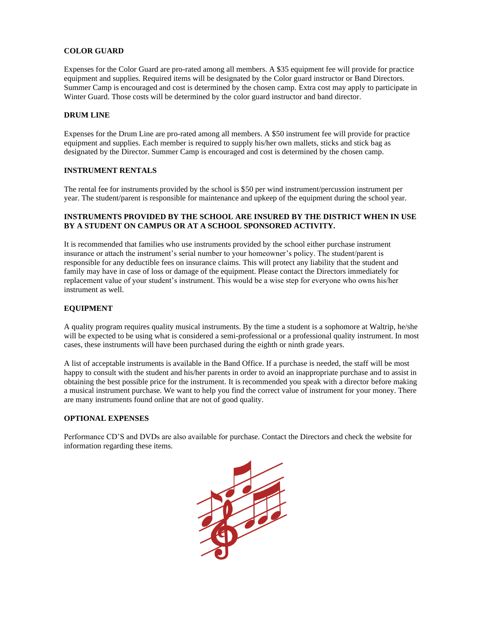# **COLOR GUARD**

Expenses for the Color Guard are pro-rated among all members. A \$35 equipment fee will provide for practice equipment and supplies. Required items will be designated by the Color guard instructor or Band Directors. Summer Camp is encouraged and cost is determined by the chosen camp. Extra cost may apply to participate in Winter Guard. Those costs will be determined by the color guard instructor and band director.

# **DRUM LINE**

Expenses for the Drum Line are pro-rated among all members. A \$50 instrument fee will provide for practice equipment and supplies. Each member is required to supply his/her own mallets, sticks and stick bag as designated by the Director. Summer Camp is encouraged and cost is determined by the chosen camp.

# **INSTRUMENT RENTALS**

The rental fee for instruments provided by the school is \$50 per wind instrument/percussion instrument per year. The student/parent is responsible for maintenance and upkeep of the equipment during the school year.

# **INSTRUMENTS PROVIDED BY THE SCHOOL ARE INSURED BY THE DISTRICT WHEN IN USE BY A STUDENT ON CAMPUS OR AT A SCHOOL SPONSORED ACTIVITY.**

It is recommended that families who use instruments provided by the school either purchase instrument insurance or attach the instrument's serial number to your homeowner's policy. The student/parent is responsible for any deductible fees on insurance claims. This will protect any liability that the student and family may have in case of loss or damage of the equipment. Please contact the Directors immediately for replacement value of your student's instrument. This would be a wise step for everyone who owns his/her instrument as well.

# **EQUIPMENT**

A quality program requires quality musical instruments. By the time a student is a sophomore at Waltrip, he/she will be expected to be using what is considered a semi-professional or a professional quality instrument. In most cases, these instruments will have been purchased during the eighth or ninth grade years.

A list of acceptable instruments is available in the Band Office. If a purchase is needed, the staff will be most happy to consult with the student and his/her parents in order to avoid an inappropriate purchase and to assist in obtaining the best possible price for the instrument. It is recommended you speak with a director before making a musical instrument purchase. We want to help you find the correct value of instrument for your money. There are many instruments found online that are not of good quality.

#### **OPTIONAL EXPENSES**

Performance CD'S and DVDs are also available for purchase. Contact the Directors and check the website for information regarding these items.

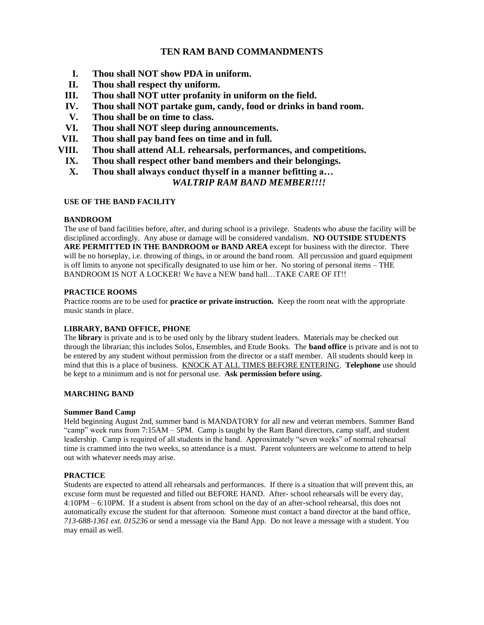# **TEN RAM BAND COMMANDMENTS**

- **I. Thou shall NOT show PDA in uniform.**
- **II. Thou shall respect thy uniform.**
- **III. Thou shall NOT utter profanity in uniform on the field.**
- **IV. Thou shall NOT partake gum, candy, food or drinks in band room.**
- **V. Thou shall be on time to class.**
- **VI. Thou shall NOT sleep during announcements.**
- **VII. Thou shall pay band fees on time and in full.**
- **VIII. Thou shall attend ALL rehearsals, performances, and competitions.**
	- **IX. Thou shall respect other band members and their belongings.**
	- **X. Thou shall always conduct thyself in a manner befitting a…**

# *WALTRIP RAM BAND MEMBER!!!!*

# **USE OF THE BAND FACILITY**

# **BANDROOM**

The use of band facilities before, after, and during school is a privilege. Students who abuse the facility will be disciplined accordingly. Any abuse or damage will be considered vandalism. **NO OUTSIDE STUDENTS ARE PERMITTED IN THE BANDROOM or BAND AREA** except for business with the director. There will be no horseplay, i.e. throwing of things, in or around the band room. All percussion and guard equipment is off limits to anyone not specifically designated to use him or her. No storing of personal items – THE BANDROOM IS NOT A LOCKER! We have a NEW band hall…TAKE CARE OF IT!!

# **PRACTICE ROOMS**

Practice rooms are to be used for **practice or private instruction.** Keep the room neat with the appropriate music stands in place.

# **LIBRARY, BAND OFFICE, PHONE**

The **library** is private and is to be used only by the library student leaders. Materials may be checked out through the librarian; this includes Solos, Ensembles, and Etude Books. The **band office** is private and is not to be entered by any student without permission from the director or a staff member. All students should keep in mind that this is a place of business. KNOCK AT ALL TIMES BEFORE ENTERING. **Telephone** use should be kept to a minimum and is not for personal use. **Ask permission before using.**

# **MARCHING BAND**

# **Summer Band Camp**

Held beginning August 2nd, summer band is MANDATORY for all new and veteran members. Summer Band "camp" week runs from 7:15AM – 5PM. Camp is taught by the Ram Band directors, camp staff, and student leadership. Camp is required of all students in the band. Approximately "seven weeks" of normal rehearsal time is crammed into the two weeks, so attendance is a must. Parent volunteers are welcome to attend to help out with whatever needs may arise.

# **PRACTICE**

Students are expected to attend all rehearsals and performances. If there is a situation that will prevent this, an excuse form must be requested and filled out BEFORE HAND. After- school rehearsals will be every day, 4:10PM – 6:10PM. If a student is absent from school on the day of an after-school rehearsal, this does not automatically excuse the student for that afternoon. Someone must contact a band director at the band office, *713-688-1361 ext. 015236* or send a message via the Band App. Do not leave a message with a student. You may email as well.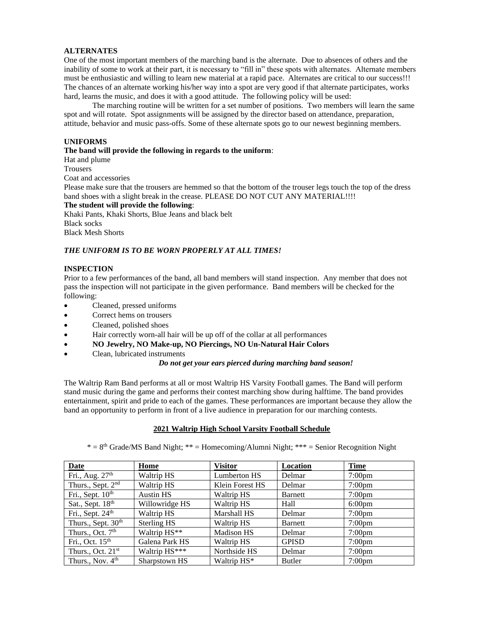# **ALTERNATES**

One of the most important members of the marching band is the alternate. Due to absences of others and the inability of some to work at their part, it is necessary to "fill in" these spots with alternates. Alternate members must be enthusiastic and willing to learn new material at a rapid pace. Alternates are critical to our success!!! The chances of an alternate working his/her way into a spot are very good if that alternate participates, works hard, learns the music, and does it with a good attitude. The following policy will be used:

The marching routine will be written for a set number of positions. Two members will learn the same spot and will rotate. Spot assignments will be assigned by the director based on attendance, preparation, attitude, behavior and music pass-offs. Some of these alternate spots go to our newest beginning members.

# **UNIFORMS**

# **The band will provide the following in regards to the uniform**:

Hat and plume **Trousers** Coat and accessories

Please make sure that the trousers are hemmed so that the bottom of the trouser legs touch the top of the dress band shoes with a slight break in the crease. PLEASE DO NOT CUT ANY MATERIAL!!!!

**The student will provide the following**:

Khaki Pants, Khaki Shorts, Blue Jeans and black belt Black socks Black Mesh Shorts

# *THE UNIFORM IS TO BE WORN PROPERLY AT ALL TIMES!*

# **INSPECTION**

Prior to a few performances of the band, all band members will stand inspection. Any member that does not pass the inspection will not participate in the given performance. Band members will be checked for the following:

- Cleaned, pressed uniforms
- Correct hems on trousers
- Cleaned, polished shoes
- Hair correctly worn-all hair will be up off of the collar at all performances
- **NO Jewelry, NO Make-up, NO Piercings, NO Un-Natural Hair Colors**
- Clean, lubricated instruments

*Do not get your ears pierced during marching band season!*

The Waltrip Ram Band performs at all or most Waltrip HS Varsity Football games. The Band will perform stand music during the game and performs their contest marching show during halftime. The band provides entertainment, spirit and pride to each of the games. These performances are important because they allow the band an opportunity to perform in front of a live audience in preparation for our marching contests.

#### **2021 Waltrip High School Varsity Football Schedule**

 $* = 8<sup>th</sup> Grade/MS Band Night; ** = Homecoming/Alunni Night; *** = Senior Recognition Night$ 

| Date                           | Home             | Visitor            | Location      | <b>Time</b>        |
|--------------------------------|------------------|--------------------|---------------|--------------------|
| Fri., Aug. $27th$              | Waltrip HS       | Lumberton HS       | Delmar        | 7:00 <sub>pm</sub> |
| Thurs., Sept. 2 <sup>nd</sup>  | Waltrip HS       | Klein Forest HS    | Delmar        | $7:00 \text{pm}$   |
| Fri., Sept. $10th$             | <b>Austin HS</b> | Waltrip HS         | Barnett       | 7:00 <sub>pm</sub> |
| Sat., Sept. 18th               | Willowridge HS   | Waltrip HS         | Hall          | 6:00 <sub>pm</sub> |
| Fri., Sept. 24 <sup>th</sup>   | Waltrip HS       | <b>Marshall HS</b> | Delmar        | 7:00 <sub>pm</sub> |
| Thurs., Sept. 30 <sup>th</sup> | Sterling HS      | Waltrip HS         | Barnett       | 7:00 <sub>pm</sub> |
| Thurs., Oct. 7 <sup>th</sup>   | Waltrip HS**     | <b>Madison HS</b>  | Delmar        | $7:00 \text{pm}$   |
| Fri., Oct. $15th$              | Galena Park HS   | Waltrip HS         | <b>GPISD</b>  | 7:00 <sub>pm</sub> |
| Thurs., Oct. $21st$            | Waltrip HS***    | Northside HS       | Delmar        | 7:00 <sub>pm</sub> |
| Thurs., Nov. 4 <sup>th</sup>   | Sharpstown HS    | Waltrip HS*        | <b>Butler</b> | 7:00 <sub>pm</sub> |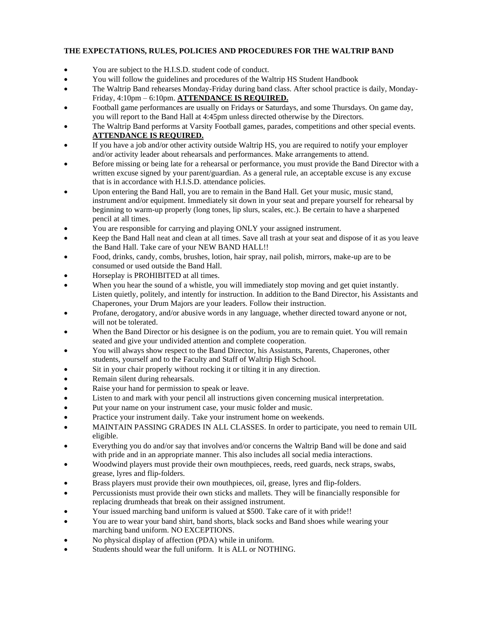# **THE EXPECTATIONS, RULES, POLICIES AND PROCEDURES FOR THE WALTRIP BAND**

- You are subject to the H.I.S.D. student code of conduct.
- You will follow the guidelines and procedures of the Waltrip HS Student Handbook
- The Waltrip Band rehearses Monday-Friday during band class. After school practice is daily, Monday-Friday, 4:10pm – 6:10pm. **ATTENDANCE IS REQUIRED.**
- Football game performances are usually on Fridays or Saturdays, and some Thursdays. On game day, you will report to the Band Hall at 4:45pm unless directed otherwise by the Directors.
- The Waltrip Band performs at Varsity Football games, parades, competitions and other special events. **ATTENDANCE IS REQUIRED.**
- If you have a job and/or other activity outside Waltrip HS, you are required to notify your employer and/or activity leader about rehearsals and performances. Make arrangements to attend.
- Before missing or being late for a rehearsal or performance, you must provide the Band Director with a written excuse signed by your parent/guardian. As a general rule, an acceptable excuse is any excuse that is in accordance with H.I.S.D. attendance policies.
- Upon entering the Band Hall, you are to remain in the Band Hall. Get your music, music stand, instrument and/or equipment. Immediately sit down in your seat and prepare yourself for rehearsal by beginning to warm-up properly (long tones, lip slurs, scales, etc.). Be certain to have a sharpened pencil at all times.
- You are responsible for carrying and playing ONLY your assigned instrument.
- Keep the Band Hall neat and clean at all times. Save all trash at your seat and dispose of it as you leave the Band Hall. Take care of your NEW BAND HALL!!
- Food, drinks, candy, combs, brushes, lotion, hair spray, nail polish, mirrors, make-up are to be consumed or used outside the Band Hall.
- Horseplay is PROHIBITED at all times.
- When you hear the sound of a whistle, you will immediately stop moving and get quiet instantly. Listen quietly, politely, and intently for instruction. In addition to the Band Director, his Assistants and Chaperones, your Drum Majors are your leaders. Follow their instruction.
- Profane, derogatory, and/or abusive words in any language, whether directed toward anyone or not, will not be tolerated.
- When the Band Director or his designee is on the podium, you are to remain quiet. You will remain seated and give your undivided attention and complete cooperation.
- You will always show respect to the Band Director, his Assistants, Parents, Chaperones, other students, yourself and to the Faculty and Staff of Waltrip High School.
- Sit in your chair properly without rocking it or tilting it in any direction.
- Remain silent during rehearsals.
- Raise your hand for permission to speak or leave.
- Listen to and mark with your pencil all instructions given concerning musical interpretation.
- Put your name on your instrument case, your music folder and music.
- Practice your instrument daily. Take your instrument home on weekends.
- MAINTAIN PASSING GRADES IN ALL CLASSES. In order to participate, you need to remain UIL eligible.
- Everything you do and/or say that involves and/or concerns the Waltrip Band will be done and said with pride and in an appropriate manner. This also includes all social media interactions.
- Woodwind players must provide their own mouthpieces, reeds, reed guards, neck straps, swabs, grease, lyres and flip-folders.
- Brass players must provide their own mouthpieces, oil, grease, lyres and flip-folders.
- Percussionists must provide their own sticks and mallets. They will be financially responsible for replacing drumheads that break on their assigned instrument.
- Your issued marching band uniform is valued at \$500. Take care of it with pride!!
- You are to wear your band shirt, band shorts, black socks and Band shoes while wearing your marching band uniform. NO EXCEPTIONS.
- No physical display of affection (PDA) while in uniform.
- Students should wear the full uniform. It is ALL or NOTHING.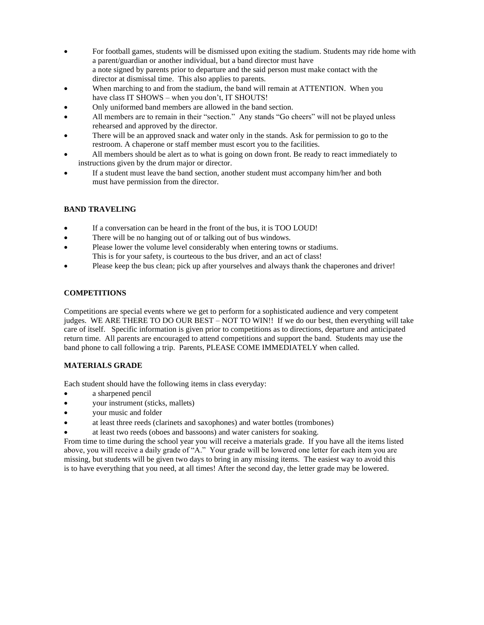- For football games, students will be dismissed upon exiting the stadium. Students may ride home with a parent/guardian or another individual, but a band director must have a note signed by parents prior to departure and the said person must make contact with the director at dismissal time. This also applies to parents.
- When marching to and from the stadium, the band will remain at ATTENTION. When you have class IT SHOWS – when you don't, IT SHOUTS!
- Only uniformed band members are allowed in the band section.
- All members are to remain in their "section." Any stands "Go cheers" will not be played unless rehearsed and approved by the director.
- There will be an approved snack and water only in the stands. Ask for permission to go to the restroom. A chaperone or staff member must escort you to the facilities.
- All members should be alert as to what is going on down front. Be ready to react immediately to instructions given by the drum major or director.
- If a student must leave the band section, another student must accompany him/her and both must have permission from the director.

# **BAND TRAVELING**

- If a conversation can be heard in the front of the bus, it is TOO LOUD!
- There will be no hanging out of or talking out of bus windows.
- Please lower the volume level considerably when entering towns or stadiums. This is for your safety, is courteous to the bus driver, and an act of class!
- Please keep the bus clean; pick up after yourselves and always thank the chaperones and driver!

# **COMPETITIONS**

Competitions are special events where we get to perform for a sophisticated audience and very competent judges. WE ARE THERE TO DO OUR BEST – NOT TO WIN!! If we do our best, then everything will take care of itself. Specific information is given prior to competitions as to directions, departure and anticipated return time. All parents are encouraged to attend competitions and support the band. Students may use the band phone to call following a trip. Parents, PLEASE COME IMMEDIATELY when called.

# **MATERIALS GRADE**

Each student should have the following items in class everyday:

- a sharpened pencil
- your instrument (sticks, mallets)
- your music and folder
- at least three reeds (clarinets and saxophones) and water bottles (trombones)
- at least two reeds (oboes and bassoons) and water canisters for soaking.

From time to time during the school year you will receive a materials grade. If you have all the items listed above, you will receive a daily grade of "A." Your grade will be lowered one letter for each item you are missing, but students will be given two days to bring in any missing items. The easiest way to avoid this is to have everything that you need, at all times! After the second day, the letter grade may be lowered.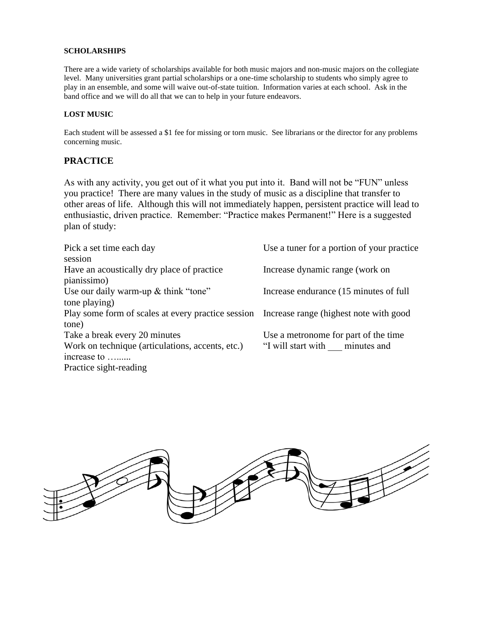# **SCHOLARSHIPS**

There are a wide variety of scholarships available for both music majors and non-music majors on the collegiate level. Many universities grant partial scholarships or a one-time scholarship to students who simply agree to play in an ensemble, and some will waive out-of-state tuition. Information varies at each school. Ask in the band office and we will do all that we can to help in your future endeavors.

# **LOST MUSIC**

Each student will be assessed a \$1 fee for missing or torn music. See librarians or the director for any problems concerning music.

# **PRACTICE**

As with any activity, you get out of it what you put into it. Band will not be "FUN" unless you practice! There are many values in the study of music as a discipline that transfer to other areas of life. Although this will not immediately happen, persistent practice will lead to enthusiastic, driven practice. Remember: "Practice makes Permanent!" Here is a suggested plan of study:

| Pick a set time each day                                                                  | Use a tuner for a portion of your practice |
|-------------------------------------------------------------------------------------------|--------------------------------------------|
| session                                                                                   |                                            |
| Have an acoustically dry place of practice                                                | Increase dynamic range (work on            |
| pianissimo)                                                                               |                                            |
| Use our daily warm-up & think "tone"                                                      | Increase endurance (15 minutes of full)    |
| tone playing)                                                                             |                                            |
| Play some form of scales at every practice session Increase range (highest note with good |                                            |
| tone)                                                                                     |                                            |
| Take a break every 20 minutes                                                             | Use a metronome for part of the time       |
| Work on technique (articulations, accents, etc.)                                          | "I will start with minutes and             |
| increase to                                                                               |                                            |
| Practice sight-reading                                                                    |                                            |

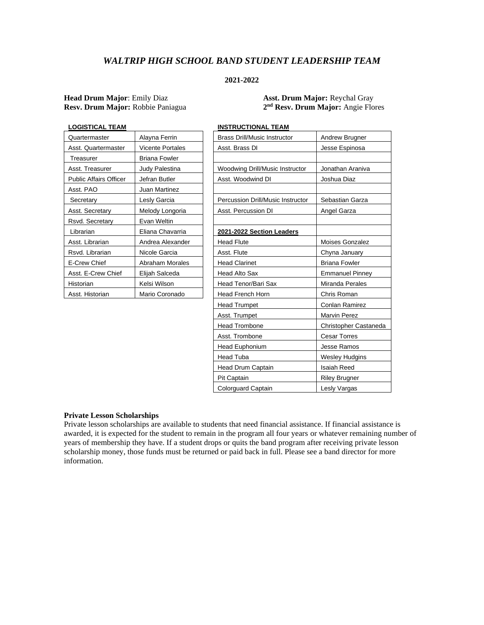# *WALTRIP HIGH SCHOOL BAND STUDENT LEADERSHIP TEAM*

# **2021-2022**

# **Head Drum Major**: Emily Diaz **Asst. Drum Major:** Reychal Gray **Resv. Drum Major:** Robbie Paniagua **2**

**nd Resv. Drum Major:** Angie Flores

| LOGISTICAL TEAM               |                         | <b>INSTRUCTIONAL TEAM</b>           |
|-------------------------------|-------------------------|-------------------------------------|
| Quartermaster                 | Alayna Ferrin           | <b>Brass Drill/Music Instructor</b> |
| Asst. Quartermaster           | <b>Vicente Portales</b> | Asst. Brass DI                      |
| Treasurer                     | Briana Fowler           |                                     |
| Asst. Treasurer               | Judy Palestina          | Woodwing Drill/Music Instruc        |
| <b>Public Affairs Officer</b> | Jefran Butler           | Asst. Woodwind DI                   |
| Asst. PAO                     | Juan Martinez           |                                     |
| Secretary                     | Lesly Garcia            | Percussion Drill/Music Instrue      |
| Asst. Secretary               | Melody Longoria         | Asst. Percussion DI                 |
| Rsvd. Secretary               | Evan Weltin             |                                     |
| Librarian                     | Eliana Chavarria        | 2021-2022 Section Leaders           |
| Asst. Librarian               | Andrea Alexander        | <b>Head Flute</b>                   |
| Rsvd. Librarian               | Nicole Garcia           | Asst. Flute                         |
| E-Crew Chief                  | Abraham Morales         | <b>Head Clarinet</b>                |
| Asst. E-Crew Chief            | Elijah Salceda          | <b>Head Alto Sax</b>                |
| Historian                     | Kelsi Wilson            | Head Tenor/Bari Sax                 |
| Asst. Historian               | Mario Coronado          | Head French Horn                    |
|                               |                         |                                     |

| <b>LOGISTICAL TEAM</b>        |                         | <b>INSTRUCTIONAL TEAM</b>                |                        |
|-------------------------------|-------------------------|------------------------------------------|------------------------|
| Quartermaster                 | Alayna Ferrin           | <b>Brass Drill/Music Instructor</b>      | Andrew Brugner         |
| Asst. Quartermaster           | <b>Vicente Portales</b> | Asst. Brass DI                           | Jesse Espinosa         |
| Treasurer                     | <b>Briana Fowler</b>    |                                          |                        |
| Asst. Treasurer               | Judy Palestina          | Woodwing Drill/Music Instructor          | Jonathan Araniva       |
| <b>Public Affairs Officer</b> | Jefran Butler           | Asst. Woodwind DI                        | Joshua Diaz            |
| Asst. PAO                     | Juan Martinez           |                                          |                        |
| Secretary                     | Lesly Garcia            | <b>Percussion Drill/Music Instructor</b> | Sebastian Garza        |
| Asst. Secretary               | Melody Longoria         | Asst. Percussion DI                      | Angel Garza            |
| Rsvd. Secretary               | Evan Weltin             |                                          |                        |
| Librarian                     | Eliana Chavarria        | 2021-2022 Section Leaders                |                        |
| Asst. Librarian               | Andrea Alexander        | <b>Head Flute</b>                        | Moises Gonzalez        |
| Rsvd. Librarian               | Nicole Garcia           | Asst. Flute                              | Chyna January          |
| E-Crew Chief                  | <b>Abraham Morales</b>  | <b>Head Clarinet</b>                     | <b>Briana Fowler</b>   |
| Asst. E-Crew Chief            | Elijah Salceda          | <b>Head Alto Sax</b>                     | <b>Emmanuel Pinney</b> |
| Historian                     | Kelsi Wilson            | Head Tenor/Bari Sax                      | Miranda Perales        |
| Asst. Historian               | Mario Coronado          | <b>Head French Horn</b>                  | Chris Roman            |
|                               |                         | <b>Head Trumpet</b>                      | Conlan Ramirez         |
|                               |                         | Asst. Trumpet                            | <b>Marvin Perez</b>    |
|                               |                         | <b>Head Trombone</b>                     | Christopher Castaneda  |
|                               |                         | Asst. Trombone                           | <b>Cesar Torres</b>    |
|                               |                         | Head Euphonium                           | Jesse Ramos            |
|                               |                         | Head Tuba                                | <b>Wesley Hudgins</b>  |
|                               |                         | <b>Head Drum Captain</b>                 | Isaiah Reed            |
|                               |                         | Pit Captain                              | Riley Brugner          |
|                               |                         | Colorguard Captain                       | Lesly Vargas           |

#### **Private Lesson Scholarships**

Private lesson scholarships are available to students that need financial assistance. If financial assistance is awarded, it is expected for the student to remain in the program all four years or whatever remaining number of years of membership they have. If a student drops or quits the band program after receiving private lesson scholarship money, those funds must be returned or paid back in full. Please see a band director for more information.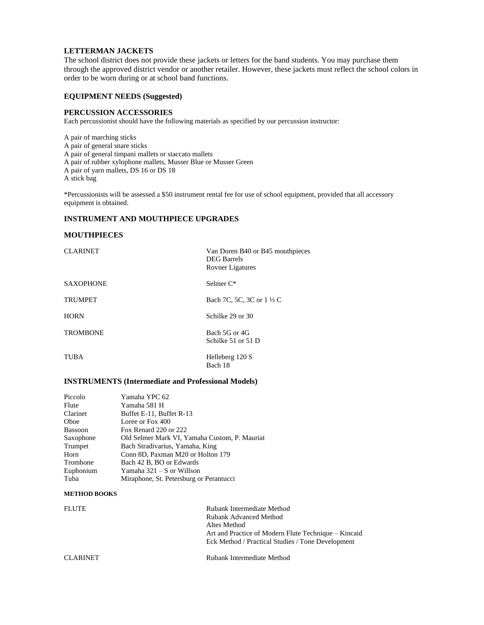# **LETTERMAN JACKETS**

The school district does not provide these jackets or letters for the band students. You may purchase them through the approved district vendor or another retailer. However, these jackets must reflect the school colors in order to be worn during or at school band functions.

# **EQUIPMENT NEEDS (Suggested)**

#### **PERCUSSION ACCESSORIES**

Each percussionist should have the following materials as specified by our percussion instructor:

A pair of marching sticks A pair of general snare sticks A pair of general timpani mallets or staccato mallets A pair of rubber xylophone mallets, Musser Blue or Musser Green A pair of yarn mallets, DS 16 or DS 18 A stick bag

\*Percussionists will be assessed a \$50 instrument rental fee for use of school equipment, provided that all accessory equipment is obtained.

# **INSTRUMENT AND MOUTHPIECE UPGRADES**

#### **MOUTHPIECES**

| <b>CLARINET</b>  | Van Doren B40 or B45 mouthpieces<br><b>DEG</b> Barrels<br><b>Rovner Ligatures</b> |
|------------------|-----------------------------------------------------------------------------------|
| <b>SAXOPHONE</b> | Selmer C*                                                                         |
| <b>TRUMPET</b>   | Bach 7C, 5C, 3C or 1 ½ C                                                          |
| <b>HORN</b>      | Schilke 29 or 30                                                                  |
| <b>TROMBONE</b>  | Bach 5G or 4G<br>Schilke 51 or 51 D                                               |
| TUBA             | Helleberg 120 S<br>Bach 18                                                        |

#### **INSTRUMENTS (Intermediate and Professional Models)**

| Piccolo   | Yamaha YPC 62                                 |
|-----------|-----------------------------------------------|
| Flute     | Yamaha 581 H                                  |
| Clarinet  | Buffet E-11, Buffet R-13                      |
| Oboe      | Loree or Fox 400                              |
| Bassoon   | Fox Renard 220 or 222                         |
| Saxophone | Old Selmer Mark VI, Yamaha Custom, P. Mauriat |
| Trumpet   | Bach Stradivarius, Yamaha, King               |
| Horn      | Conn 8D, Paxman M20 or Holton 179             |
| Trombone  | Bach 42 B, BO or Edwards                      |
| Euphonium | Yamaha 321 – S or Willson                     |
| Tuba      | Miraphone, St. Petersburg or Perantucci       |

#### **METHOD BOOKS**

| <b>FLUTE</b>    | Rubank Intermediate Method<br>Rubank Advanced Method<br>Altes Method<br>Art and Practice of Modern Flute Technique – Kincaid<br>Eck Method / Practical Studies / Tone Development |
|-----------------|-----------------------------------------------------------------------------------------------------------------------------------------------------------------------------------|
| <b>CLARINET</b> | Rubank Intermediate Method                                                                                                                                                        |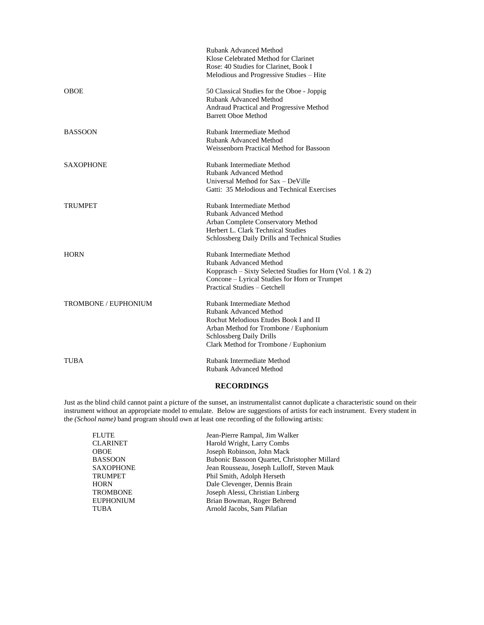|                      | <b>Rubank Advanced Method</b><br>Klose Celebrated Method for Clarinet<br>Rose: 40 Studies for Clarinet, Book I<br>Melodious and Progressive Studies - Hite                                                      |
|----------------------|-----------------------------------------------------------------------------------------------------------------------------------------------------------------------------------------------------------------|
| <b>OBOE</b>          | 50 Classical Studies for the Oboe - Joppig<br><b>Rubank Advanced Method</b><br>Andraud Practical and Progressive Method<br><b>Barrett Oboe Method</b>                                                           |
| <b>BASSOON</b>       | Rubank Intermediate Method<br><b>Rubank Advanced Method</b><br>Weissenborn Practical Method for Bassoon                                                                                                         |
| <b>SAXOPHONE</b>     | Rubank Intermediate Method<br><b>Rubank Advanced Method</b><br>Universal Method for Sax - DeVille<br>Gatti: 35 Melodious and Technical Exercises                                                                |
| TRUMPET              | Rubank Intermediate Method<br><b>Rubank Advanced Method</b><br>Arban Complete Conservatory Method<br>Herbert L. Clark Technical Studies<br>Schlossberg Daily Drills and Technical Studies                       |
| <b>HORN</b>          | Rubank Intermediate Method<br><b>Rubank Advanced Method</b><br>Kopprasch – Sixty Selected Studies for Horn (Vol. 1 & 2)<br>Concone – Lyrical Studies for Horn or Trumpet<br><b>Practical Studies - Getchell</b> |
| TROMBONE / EUPHONIUM | Rubank Intermediate Method<br>Rubank Advanced Method<br>Rochut Melodious Etudes Book I and II<br>Arban Method for Trombone / Euphonium<br>Schlossberg Daily Drills<br>Clark Method for Trombone / Euphonium     |
| TUBA                 | Rubank Intermediate Method<br><b>Rubank Advanced Method</b>                                                                                                                                                     |

# **RECORDINGS**

Just as the blind child cannot paint a picture of the sunset, an instrumentalist cannot duplicate a characteristic sound on their instrument without an appropriate model to emulate. Below are suggestions of artists for each instrument. Every student in the *(School name)* band program should own at least one recording of the following artists:

| FLUTE     | Jean-Pierre Rampal, Jim Walker               |
|-----------|----------------------------------------------|
| CLARINET  | Harold Wright, Larry Combs                   |
| OBOE      | Joseph Robinson, John Mack                   |
| BASSOON   | Bubonic Bassoon Quartet, Christopher Millard |
| SAXOPHONE | Jean Rousseau, Joseph Lulloff, Steven Mauk   |
| TRUMPET   | Phil Smith, Adolph Herseth                   |
| HORN      | Dale Clevenger, Dennis Brain                 |
| TROMBONE  | Joseph Alessi, Christian Linberg             |
| EUPHONIUM | Brian Bowman, Roger Behrend                  |
| TUBA      | Arnold Jacobs, Sam Pilafian                  |
|           |                                              |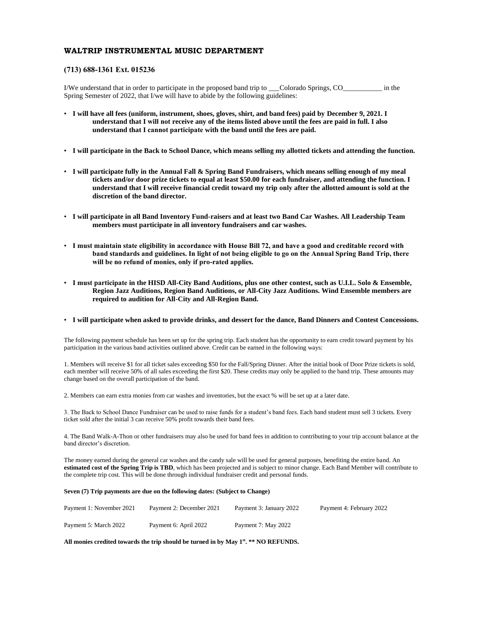# **WALTRIP INSTRUMENTAL MUSIC DEPARTMENT**

#### **(713) 688-1361 Ext. 015236**

I/We understand that in order to participate in the proposed band trip to \_\_\_Colorado Springs, CO\_\_\_\_\_\_\_\_\_\_\_ in the Spring Semester of 2022, that I/we will have to abide by the following guidelines:

- **I will have all fees (uniform, instrument, shoes, gloves, shirt, and band fees) paid by December 9, 2021. I understand that I will not receive any of the items listed above until the fees are paid in full. I also understand that I cannot participate with the band until the fees are paid.**
- **I will participate in the Back to School Dance, which means selling my allotted tickets and attending the function.**
- **I will participate fully in the Annual Fall & Spring Band Fundraisers, which means selling enough of my meal tickets and/or door prize tickets to equal at least \$50.00 for each fundraiser, and attending the function. I understand that I will receive financial credit toward my trip only after the allotted amount is sold at the discretion of the band director.**
- **I will participate in all Band Inventory Fund-raisers and at least two Band Car Washes. All Leadership Team members must participate in all inventory fundraisers and car washes.**
- **I must maintain state eligibility in accordance with House Bill 72, and have a good and creditable record with band standards and guidelines. In light of not being eligible to go on the Annual Spring Band Trip, there will be no refund of monies, only if pro-rated applies.**
- **I must participate in the HISD All-City Band Auditions, plus one other contest, such as U.I.L. Solo & Ensemble, Region Jazz Auditions, Region Band Auditions, or All-City Jazz Auditions. Wind Ensemble members are required to audition for All-City and All-Region Band.**

#### • **I will participate when asked to provide drinks, and dessert for the dance, Band Dinners and Contest Concessions.**

The following payment schedule has been set up for the spring trip. Each student has the opportunity to earn credit toward payment by his participation in the various band activities outlined above. Credit can be earned in the following ways:

1. Members will receive \$1 for all ticket sales exceeding \$50 for the Fall/Spring Dinner. After the initial book of Door Prize tickets is sold, each member will receive 50% of all sales exceeding the first \$20. These credits may only be applied to the band trip. These amounts may change based on the overall participation of the band.

2. Members can earn extra monies from car washes and inventories, but the exact % will be set up at a later date.

3. The Back to School Dance Fundraiser can be used to raise funds for a student's band fees. Each band student must sell 3 tickets. Every ticket sold after the initial 3 can receive 50% profit towards their band fees.

4. The Band Walk-A-Thon or other fundraisers may also be used for band fees in addition to contributing to your trip account balance at the band director's discretion.

The money earned during the general car washes and the candy sale will be used for general purposes, benefiting the entire band. An **estimated cost of the Spring Trip is TBD**, which has been projected and is subject to minor change. Each Band Member will contribute to the complete trip cost. This will be done through individual fundraiser credit and personal funds.

#### **Seven (7) Trip payments are due on the following dates: (Subject to Change)**

| Payment 1: November 2021 | Payment 2: December 2021 | Payment 3: January 2022 | Payment 4: February 2022 |
|--------------------------|--------------------------|-------------------------|--------------------------|
| Payment 5: March 2022    | Payment 6: April 2022    | Payment 7: May 2022     |                          |

**All monies credited towards the trip should be turned in by May 1st . \*\* NO REFUNDS.**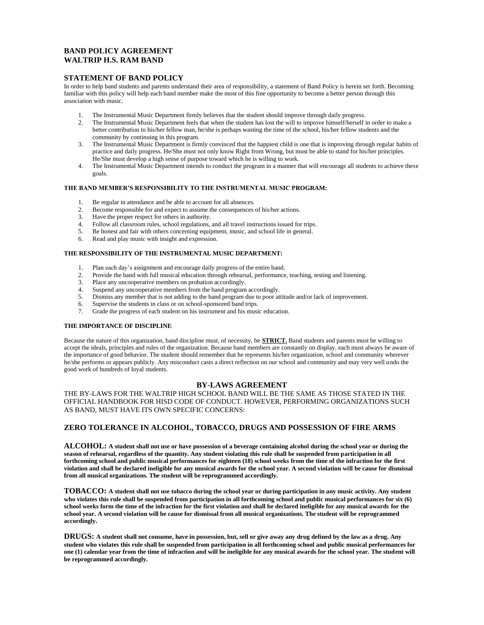# **BAND POLICY AGREEMENT WALTRIP H.S. RAM BAND**

#### **STATEMENT OF BAND POLICY**

In order to help band students and parents understand their area of responsibility, a statement of Band Policy is herein set forth. Becoming familiar with this policy will help each band member make the most of this fine opportunity to become a better person through this association with music.

- 1. The Instrumental Music Department firmly believes that the student should improve through daily progress.
- 2. The Instrumental Music Department feels that when the student has lost the will to improve himself/herself in order to make a better contribution to his/her fellow man, he/she is perhaps wasting the time of the school, his/her fellow students and the community by continuing in this program.
- 3. The Instrumental Music Department is firmly convinced that the happiest child is one that is improving through regular habits of practice and daily progress. He/She must not only know Right from Wrong, but must be able to stand for his/her principles. He/She must develop a high sense of purpose toward which he is willing to work.
- 4. The Instrumental Music Department intends to conduct the program in a manner that will encourage all students to achieve these goals.

#### **THE BAND MEMBER'S RESPONSIBILITY TO THE INSTRUMENTAL MUSIC PROGRAM:**

- 1. Be regular in attendance and be able to account for all absences.
- 2. Become responsible for and expect to assume the consequences of his/her actions.
- 3. Have the proper respect for others in authority.
- 4. Follow all classroom rules, school regulations, and all travel instructions issued for trips.
- 5. Be honest and fair with others concerning equipment, music, and school life in general.
- 6. Read and play music with insight and expression.

#### **THE RESPONSIBILITY OF THE INSTRUMENTAL MUSIC DEPARTMENT:**

- 1. Plan each day's assignment and encourage daily progress of the entire band.
- 2. Provide the band with full musical education through rehearsal, performance, teaching, testing and listening.
- 3. Place any uncooperative members on probation accordingly.
- 4. Suspend any uncooperative members from the band program accordingly.
- 5. Dismiss any member that is not adding to the band program due to poor attitude and/or lack of improvement.
- 6. Supervise the students in class or on school-sponsored band trips.
- 7. Grade the progress of each student on his instrument and his music education.

#### **THE IMPORTANCE OF DISCIPLINE**

Because the nature of this organization, band discipline must, of necessity, be **STRICT.** Band students and parents must be willing to accept the ideals, principles and rules of the organization. Because band members are constantly on display, each must always be aware of the importance of good behavior. The student should remember that he represents his/her organization, school and community wherever he/she performs or appears publicly. Any misconduct casts a direct reflection on our school and community and may very well undo the good work of hundreds of loyal students.

#### **BY-LAWS AGREEMENT**

THE BY-LAWS FOR THE WALTRIP HIGH SCHOOL BAND WILL BE THE SAME AS THOSE STATED IN THE OFFICIAL HANDBOOK FOR HISD CODE OF CONDUCT. HOWEVER, PERFORMING ORGANIZATIONS SUCH AS BAND, MUST HAVE ITS OWN SPECIFIC CONCERNS:

#### **ZERO TOLERANCE IN ALCOHOL, TOBACCO, DRUGS AND POSSESSION OF FIRE ARMS**

**ALCOHOL: A student shall not use or have possession of a beverage containing alcohol during the school year or during the season of rehearsal, regardless of the quantity. Any student violating this rule shall be suspended from participation in all forthcoming school and public musical performances for eighteen (18) school weeks from the time of the infraction for the first violation and shall be declared ineligible for any musical awards for the school year. A second violation will be cause for dismissal from all musical organizations. The student will be reprogrammed accordingly.**

**TOBACCO: A student shall not use tobacco during the school year or during participation in any music activity. Any student who violates this rule shall be suspended from participation in all forthcoming school and public musical performances for six (6) school weeks form the time of the infraction for the first violation and shall be declared ineligible for any musical awards for the school year. A second violation will be cause for dismissal from all musical organizations. The student will be reprogrammed accordingly.**

**DRUGS: A student shall not consume, have in possession, but, sell or give away any drug defined by the law as a drug. Any student who violates this rule shall be suspended from participation in all forthcoming school and public musical performances for one (1) calendar year from the time of infraction and will be ineligible for any musical awards for the school year. The student will be reprogrammed accordingly.**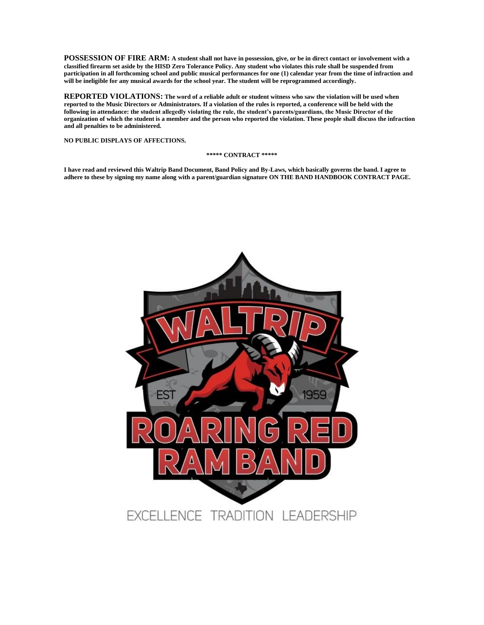**POSSESSION OF FIRE ARM: A student shall not have in possession, give, or be in direct contact or involvement with a classified firearm set aside by the HISD Zero Tolerance Policy. Any student who violates this rule shall be suspended from participation in all forthcoming school and public musical performances for one (1) calendar year from the time of infraction and will be ineligible for any musical awards for the school year. The student will be reprogrammed accordingly.**

**REPORTED VIOLATIONS: The word of a reliable adult or student witness who saw the violation will be used when reported to the Music Directors or Administrators. If a violation of the rules is reported, a conference will be held with the following in attendance: the student allegedly violating the rule, the student's parents/guardians, the Music Director of the organization of which the student is a member and the person who reported the violation. These people shall discuss the infraction and all penalties to be administered.**

**NO PUBLIC DISPLAYS OF AFFECTIONS.**

#### **\*\*\*\*\* CONTRACT \*\*\*\*\***

**I have read and reviewed this Waltrip Band Document, Band Policy and By-Laws, which basically governs the band. I agree to adhere to these by signing my name along with a parent/guardian signature ON THE BAND HANDBOOK CONTRACT PAGE.**

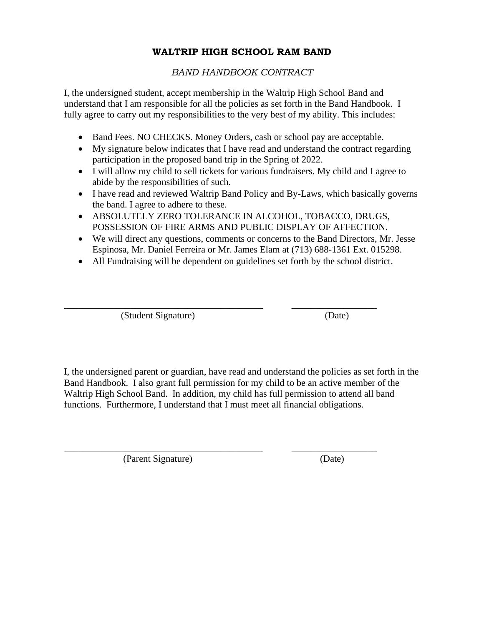# **WALTRIP HIGH SCHOOL RAM BAND**

# *BAND HANDBOOK CONTRACT*

I, the undersigned student, accept membership in the Waltrip High School Band and understand that I am responsible for all the policies as set forth in the Band Handbook. I fully agree to carry out my responsibilities to the very best of my ability. This includes:

- Band Fees. NO CHECKS. Money Orders, cash or school pay are acceptable.
- My signature below indicates that I have read and understand the contract regarding participation in the proposed band trip in the Spring of 2022.
- I will allow my child to sell tickets for various fundraisers. My child and I agree to abide by the responsibilities of such.
- I have read and reviewed Waltrip Band Policy and By-Laws, which basically governs the band. I agree to adhere to these.
- ABSOLUTELY ZERO TOLERANCE IN ALCOHOL, TOBACCO, DRUGS, POSSESSION OF FIRE ARMS AND PUBLIC DISPLAY OF AFFECTION.
- We will direct any questions, comments or concerns to the Band Directors, Mr. Jesse Espinosa, Mr. Daniel Ferreira or Mr. James Elam at (713) 688-1361 Ext. 015298.
- All Fundraising will be dependent on guidelines set forth by the school district.

\_\_\_\_\_\_\_\_\_\_\_\_\_\_\_\_\_\_\_\_\_\_\_\_\_\_\_\_\_\_\_\_\_\_\_\_\_\_\_\_\_\_ \_\_\_\_\_\_\_\_\_\_\_\_\_\_\_\_\_\_

\_\_\_\_\_\_\_\_\_\_\_\_\_\_\_\_\_\_\_\_\_\_\_\_\_\_\_\_\_\_\_\_\_\_\_\_\_\_\_\_\_\_ \_\_\_\_\_\_\_\_\_\_\_\_\_\_\_\_\_\_

(Student Signature) (Date)

I, the undersigned parent or guardian, have read and understand the policies as set forth in the Band Handbook. I also grant full permission for my child to be an active member of the Waltrip High School Band. In addition, my child has full permission to attend all band functions. Furthermore, I understand that I must meet all financial obligations.

(Parent Signature) (Date)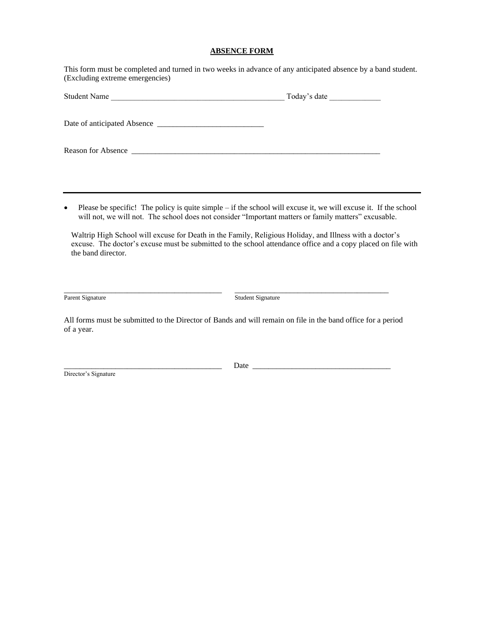# **ABSENCE FORM**

This form must be completed and turned in two weeks in advance of any anticipated absence by a band student. (Excluding extreme emergencies)

| <b>Student Name</b> | Today's date |  |
|---------------------|--------------|--|
|                     |              |  |
| Reason for Absence  |              |  |

• Please be specific! The policy is quite simple – if the school will excuse it, we will excuse it. If the school will not, we will not. The school does not consider "Important matters or family matters" excusable.

Waltrip High School will excuse for Death in the Family, Religious Holiday, and Illness with a doctor's excuse. The doctor's excuse must be submitted to the school attendance office and a copy placed on file with the band director.

Parent Signature **Student Signature** Student Signature

All forms must be submitted to the Director of Bands and will remain on file in the band office for a period of a year.

\_\_\_\_\_\_\_\_\_\_\_\_\_\_\_\_\_\_\_\_\_\_\_\_\_\_\_\_\_\_\_\_\_\_\_\_\_\_\_\_ \_\_\_\_\_\_\_\_\_\_\_\_\_\_\_\_\_\_\_\_\_\_\_\_\_\_\_\_\_\_\_\_\_\_\_\_\_\_\_

Director's Signature

\_\_\_\_\_\_\_\_\_\_\_\_\_\_\_\_\_\_\_\_\_\_\_\_\_\_\_\_\_\_\_\_\_\_\_\_\_\_\_\_ Date \_\_\_\_\_\_\_\_\_\_\_\_\_\_\_\_\_\_\_\_\_\_\_\_\_\_\_\_\_\_\_\_\_\_\_